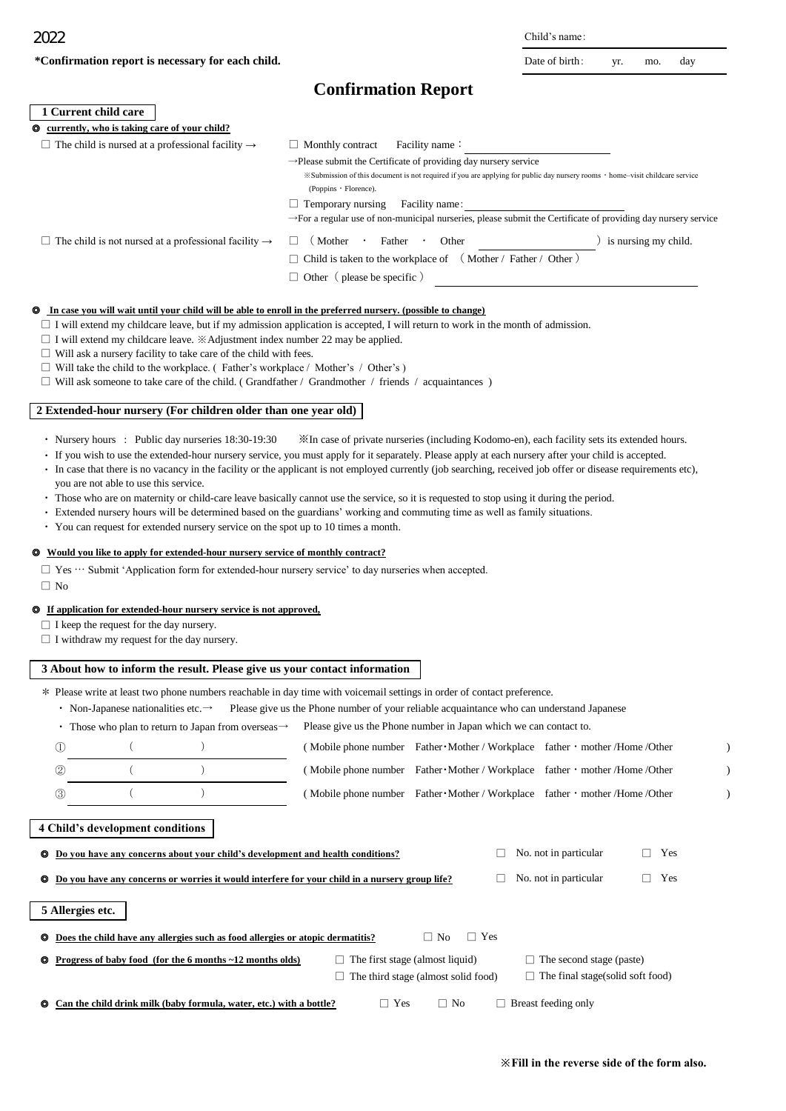| Date of birth:<br>day<br>mo.<br>yr. |
|-------------------------------------|
|-------------------------------------|

|                                                                                                                                                                                                                                                                                                                                                                                                                                                                                                                                                                     | <b>Confirmation Report</b>                                                                                                                                                                                                                                                                                                                                                                                                                                                                                                                                                                          |
|---------------------------------------------------------------------------------------------------------------------------------------------------------------------------------------------------------------------------------------------------------------------------------------------------------------------------------------------------------------------------------------------------------------------------------------------------------------------------------------------------------------------------------------------------------------------|-----------------------------------------------------------------------------------------------------------------------------------------------------------------------------------------------------------------------------------------------------------------------------------------------------------------------------------------------------------------------------------------------------------------------------------------------------------------------------------------------------------------------------------------------------------------------------------------------------|
| 1 Current child care                                                                                                                                                                                                                                                                                                                                                                                                                                                                                                                                                |                                                                                                                                                                                                                                                                                                                                                                                                                                                                                                                                                                                                     |
| currently, who is taking care of your child?<br>◉                                                                                                                                                                                                                                                                                                                                                                                                                                                                                                                   |                                                                                                                                                                                                                                                                                                                                                                                                                                                                                                                                                                                                     |
| $\Box$ The child is nursed at a professional facility $\rightarrow$                                                                                                                                                                                                                                                                                                                                                                                                                                                                                                 | $\Box$ Monthly contract<br>Facility name:<br>$\rightarrow$ Please submit the Certificate of providing day nursery service<br>*Submission of this document is not required if you are applying for public day nursery rooms · home-visit childcare service<br>(Poppins · Florence).<br>$\Box$ Temporary nursing<br>Facility name:<br>>For a regular use of non-municipal nurseries, please submit the Certificate of providing day nursery service                                                                                                                                                   |
| $\Box$ The child is not nursed at a professional facility $\rightarrow$                                                                                                                                                                                                                                                                                                                                                                                                                                                                                             | ) is nursing my child.<br>(Mother)<br>Father<br>Other<br>$\sim$                                                                                                                                                                                                                                                                                                                                                                                                                                                                                                                                     |
|                                                                                                                                                                                                                                                                                                                                                                                                                                                                                                                                                                     | $\Box$ Child is taken to the workplace of $($ Mother / Father / Other $)$<br>$\Box$ Other (please be specific)                                                                                                                                                                                                                                                                                                                                                                                                                                                                                      |
| <b>Q</b> In case you will wait until your child will be able to enroll in the preferred nursery. (possible to change)<br>$\Box$ I will extend my childcare leave. $\mathbb X$ Adjustment index number 22 may be applied.<br>$\Box$ Will ask a nursery facility to take care of the child with fees.<br>$\Box$ Will take the child to the workplace. (Father's workplace / Mother's / Other's )<br>$\Box$ Will ask someone to take care of the child. (Grandfather / Grandmother / friends / acquaintances )                                                         | $\Box$ I will extend my childcare leave, but if my admission application is accepted, I will return to work in the month of admission.                                                                                                                                                                                                                                                                                                                                                                                                                                                              |
| 2 Extended-hour nursery (For children older than one year old)                                                                                                                                                                                                                                                                                                                                                                                                                                                                                                      |                                                                                                                                                                                                                                                                                                                                                                                                                                                                                                                                                                                                     |
| you are not able to use this service.<br>• You can request for extended nursery service on the spot up to 10 times a month.<br><b><math>\bullet</math></b> Would you like to apply for extended-hour nursery service of monthly contract?<br>□ Yes … Submit 'Application form for extended-hour nursery service' to day nurseries when accepted.<br>$\Box$ No<br><b><math>\circ</math></b> If application for extended-hour nursery service is not approved,<br>$\Box$ I keep the request for the day nursery.<br>$\Box$ I withdraw my request for the day nursery. | · If you wish to use the extended-hour nursery service, you must apply for it separately. Please apply at each nursery after your child is accepted.<br>· In case that there is no vacancy in the facility or the applicant is not employed currently (job searching, received job offer or disease requirements etc),<br>• Those who are on maternity or child-care leave basically cannot use the service, so it is requested to stop using it during the period.<br>· Extended nursery hours will be determined based on the guardians' working and commuting time as well as family situations. |
|                                                                                                                                                                                                                                                                                                                                                                                                                                                                                                                                                                     |                                                                                                                                                                                                                                                                                                                                                                                                                                                                                                                                                                                                     |
| 3 About how to inform the result. Please give us your contact information<br>• Non-Japanese nationalities etc. $\rightarrow$<br>• Those who plan to return to Japan from overseas $\rightarrow$<br>$\mathbb{O}$<br>€<br>$\left( \right)$<br>$\left($<br>$\lambda$<br>(2)<br>$\left($<br>$\mathcal{E}$<br>$\circled{3}$                                                                                                                                                                                                                                              | * Please write at least two phone numbers reachable in day time with voicemail settings in order of contact preference.<br>Please give us the Phone number of your reliable acquaintance who can understand Japanese<br>Please give us the Phone number in Japan which we can contact to.<br>(Mobile phone number Father • Mother / Workplace father • mother /Home /Other<br>(Mobile phone number Father • Mother / Workplace father • mother /Home /Other<br>(Mobile phone number Father • Mother / Workplace father • mother /Home /Other                                                        |
| 4 Child's development conditions                                                                                                                                                                                                                                                                                                                                                                                                                                                                                                                                    |                                                                                                                                                                                                                                                                                                                                                                                                                                                                                                                                                                                                     |
| Do you have any concerns about your child's development and health conditions?<br>◎                                                                                                                                                                                                                                                                                                                                                                                                                                                                                 | No. not in particular<br>Yes                                                                                                                                                                                                                                                                                                                                                                                                                                                                                                                                                                        |
| Do you have any concerns or worries it would interfere for your child in a nursery group life?<br>O                                                                                                                                                                                                                                                                                                                                                                                                                                                                 | No. not in particular<br>Yes                                                                                                                                                                                                                                                                                                                                                                                                                                                                                                                                                                        |
| 5 Allergies etc.                                                                                                                                                                                                                                                                                                                                                                                                                                                                                                                                                    |                                                                                                                                                                                                                                                                                                                                                                                                                                                                                                                                                                                                     |

| <b><math>\bullet</math></b> Does the child have any allergies such as food allergies or atopic dermatitis? |                                        |                                            | $\Box$ No |           | $\Box$ Yes                      |                                         |  |
|------------------------------------------------------------------------------------------------------------|----------------------------------------|--------------------------------------------|-----------|-----------|---------------------------------|-----------------------------------------|--|
| $\bullet$ Progress of baby food (for the 6 months $\sim$ 12 months olds)                                   | $\Box$ The first stage (almost liquid) |                                            |           |           | $\Box$ The second stage (paste) |                                         |  |
|                                                                                                            |                                        | $\Box$ The third stage (almost solid food) |           |           |                                 | $\Box$ The final stage(solid soft food) |  |
| <b>Q</b> Can the child drink milk (baby formula, water, etc.) with a bottle?                               |                                        | $\neg$ Yes                                 |           | $\Box$ No |                                 | $\Box$ Breast feeding only              |  |